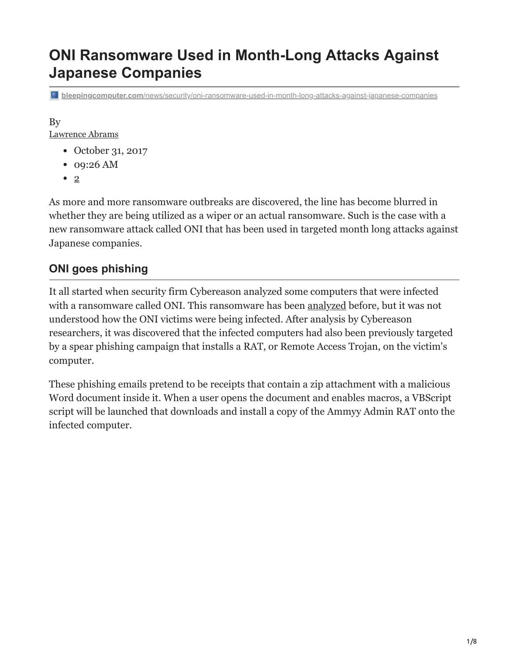# **ONI Ransomware Used in Month-Long Attacks Against Japanese Companies**

**bleepingcomputer.com**[/news/security/oni-ransomware-used-in-month-long-attacks-against-japanese-companies](https://www.bleepingcomputer.com/news/security/oni-ransomware-used-in-month-long-attacks-against-japanese-companies/)

#### By [Lawrence Abrams](https://www.bleepingcomputer.com/author/lawrence-abrams/)

- October 31, 2017
- 09:26 AM
- [2](#page-6-0)

As more and more ransomware outbreaks are discovered, the line has become blurred in whether they are being utilized as a wiper or an actual ransomware. Such is the case with a new ransomware attack called ONI that has been used in targeted month long attacks against Japanese companies.

# **ONI goes phishing**

It all started when security firm Cybereason analyzed some computers that were infected with [a](https://www.cylance.com/ja_jp/blog/jp-oni-ransomware-globeimposter.html) ransomware called ONI. This ransomware has been a[nalyzed](http://www.cylance.com/ja_jp/blog/jp-oni-ransomware-globeimposter.html) before, but it was not understood how the ONI victims were being infected. After analysis by Cybereason researchers, it was discovered that the infected computers had also been previously targeted by a spear phishing campaign that installs a RAT, or Remote Access Trojan, on the victim's computer.

These phishing emails pretend to be receipts that contain a zip attachment with a malicious Word document inside it. When a user opens the document and enables macros, a VBScript script will be launched that downloads and install a copy of the Ammyy Admin RAT onto the infected computer.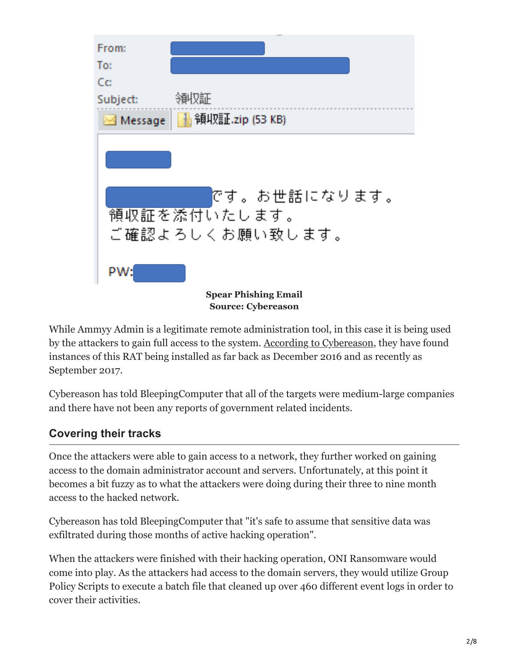

# **Source: Cybereason**

While Ammyy Admin is a legitimate remote administration tool, in this case it is being used by the attackers to gain full access to the system. [According to Cybereason](https://www.cybereason.com/blog/night-of-the-devil-ransomware-or-wiper-a-look-into-targeted-attacks-in-japan), they have found instances of this RAT being installed as far back as December 2016 and as recently as September 2017.

Cybereason has told BleepingComputer that all of the targets were medium-large companies and there have not been any reports of government related incidents.

## **Covering their tracks**

Once the attackers were able to gain access to a network, they further worked on gaining access to the domain administrator account and servers. Unfortunately, at this point it becomes a bit fuzzy as to what the attackers were doing during their three to nine month access to the hacked network.

Cybereason has told BleepingComputer that "it's safe to assume that sensitive data was exfiltrated during those months of active hacking operation".

When the attackers were finished with their hacking operation, ONI Ransomware would come into play. As the attackers had access to the domain servers, they would utilize Group Policy Scripts to execute a batch file that cleaned up over 460 different event logs in order to cover their activities.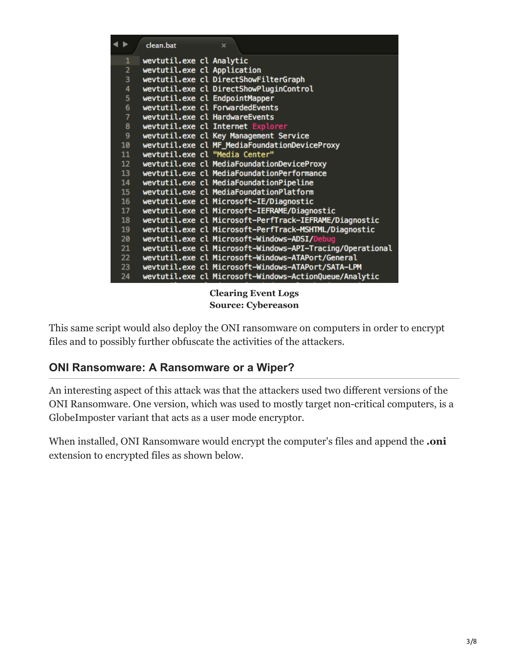|                 | clean.bat                   | $\mathbf x$                                               |
|-----------------|-----------------------------|-----------------------------------------------------------|
| 1               | wevtutil.exe cl Analytic    |                                                           |
| 2<br>3          | wevtutil.exe cl Application |                                                           |
|                 |                             | wevtutil.exe cl DirectShowFilterGraph                     |
| 4               |                             | wevtutil.exe cl DirectShowPluginControl                   |
| 5               |                             | wevtutil.exe cl EndpointMapper                            |
| 6               |                             | wevtutil.exe cl ForwardedEvents                           |
| 7               |                             | wevtutil.exe cl HardwareEvents                            |
| 8               |                             | wevtutil.exe cl Internet Explorer                         |
| 9               |                             | wevtutil.exe cl Key Management Service                    |
| 10              |                             | wevtutil.exe cl MF_MediaFoundationDeviceProxy             |
| 11              |                             | wevtutil.exe cl "Media Center"                            |
| 12 <sup>2</sup> |                             | wevtutil.exe cl MediaFoundationDeviceProxy                |
| 13              |                             | wevtutil.exe cl MediaFoundationPerformance                |
| 14              |                             | wevtutil.exe cl MediaFoundationPipeline                   |
| 15              |                             | wevtutil.exe cl MediaFoundationPlatform                   |
| 16 <sup>1</sup> |                             | wevtutil.exe cl Microsoft-IE/Diagnostic                   |
| 17              |                             | wevtutil.exe cl Microsoft-IEFRAME/Diagnostic              |
| 18              |                             | wevtutil.exe cl Microsoft-PerfTrack-IEFRAME/Diagnostic    |
| 19              |                             | wevtutil.exe cl Microsoft-PerfTrack-MSHTML/Diagnostic     |
| 20              |                             | wevtutil.exe cl Microsoft-Windows-ADSI/Debug              |
| 21              |                             | wevtutil.exe cl Microsoft-Windows-API-Tracing/Operational |
| 22              |                             | wevtutil.exe cl Microsoft-Windows-ATAPort/General         |
| $23 -$          |                             | wevtutil.exe cl Microsoft-Windows-ATAPort/SATA-LPM        |
| 24              |                             | wevtutil.exe cl Microsoft-Windows-ActionQueue/Analytic    |

**Clearing Event Logs Source: Cybereason**

This same script would also deploy the ONI ransomware on computers in order to encrypt files and to possibly further obfuscate the activities of the attackers.

### **ONI Ransomware: A Ransomware or a Wiper?**

An interesting aspect of this attack was that the attackers used two different versions of the ONI Ransomware. One version, which was used to mostly target non-critical computers, is a GlobeImposter variant that acts as a user mode encryptor.

When installed, ONI Ransomware would encrypt the computer's files and append the **.oni** extension to encrypted files as shown below.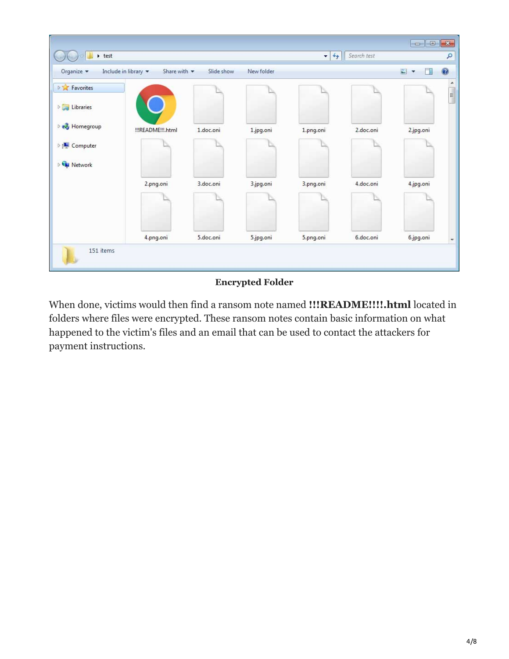| $\rightarrow$ test |                                                       |            |            | $\overline{\phantom{a}}$<br>$\ast_{\hat{\mathcal{T}}}$ | Search test | $\begin{array}{c c c c c} \hline \multicolumn{3}{c }{\mathbf{C}} & \multicolumn{3}{c }{\mathbf{D}} & \multicolumn{3}{c }{\mathbf{X}} \\\hline \multicolumn{3}{c }{\mathbf{C}} & \multicolumn{3}{c }{\mathbf{D}} & \multicolumn{3}{c }{\mathbf{X}} \\\hline \multicolumn{3}{c }{\mathbf{D}} & \multicolumn{3}{c }{\mathbf{S}} & \multicolumn{3}{c }{\mathbf{S}} \\\hline \multicolumn{3}{c }{\mathbf{D}} & \multicolumn{3}{c }{\mathbf{S}} & \multicolumn{3$ | ٩             |
|--------------------|-------------------------------------------------------|------------|------------|--------------------------------------------------------|-------------|-------------------------------------------------------------------------------------------------------------------------------------------------------------------------------------------------------------------------------------------------------------------------------------------------------------------------------------------------------------------------------------------------------------------------------------------------------------|---------------|
| Organize -         | Include in library<br>Share with $\blacktriangledown$ | Slide show | New folder |                                                        |             | $\Box$<br>$\overline{\phantom{a}}$                                                                                                                                                                                                                                                                                                                                                                                                                          | 0             |
| <b>P</b> Favorites |                                                       |            |            |                                                        |             |                                                                                                                                                                                                                                                                                                                                                                                                                                                             | ۰<br>$\equiv$ |
| <b>D</b> Libraries |                                                       |            |            |                                                        |             |                                                                                                                                                                                                                                                                                                                                                                                                                                                             |               |
| <b>B</b> Homegroup | !!!README!!!.html                                     | 1.doc.oni  | 1.jpg.oni  | 1.png.oni                                              | 2.doc.oni   | 2.jpg.oni                                                                                                                                                                                                                                                                                                                                                                                                                                                   |               |
| De Computer        |                                                       |            |            |                                                        |             |                                                                                                                                                                                                                                                                                                                                                                                                                                                             |               |
| <b>EN Network</b>  |                                                       |            |            |                                                        |             |                                                                                                                                                                                                                                                                                                                                                                                                                                                             |               |
|                    | 2.png.oni                                             | 3.doc.oni  | 3.jpg.oni  | 3.png.oni                                              | 4.doc.oni   | 4.jpg.oni                                                                                                                                                                                                                                                                                                                                                                                                                                                   |               |
|                    |                                                       |            |            |                                                        |             |                                                                                                                                                                                                                                                                                                                                                                                                                                                             |               |
|                    | 4.png.oni                                             | 5.doc.oni  | 5.jpg.oni  | 5.png.oni                                              | 6.doc.oni   | 6.jpg.oni                                                                                                                                                                                                                                                                                                                                                                                                                                                   | ۰             |
| 151 items          |                                                       |            |            |                                                        |             |                                                                                                                                                                                                                                                                                                                                                                                                                                                             |               |

#### **Encrypted Folder**

When done, victims would then find a ransom note named **!!!README!!!!.html** located in folders where files were encrypted. These ransom notes contain basic information on what happened to the victim's files and an email that can be used to contact the attackers for payment instructions.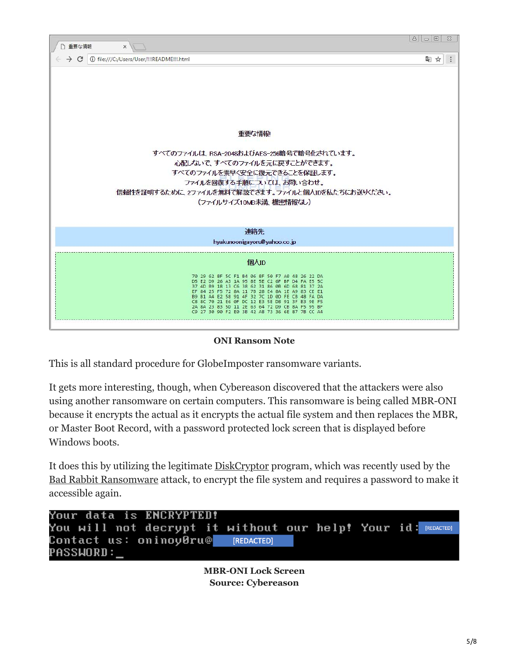

**ONI Ransom Note**

This is all standard procedure for GlobeImposter ransomware variants.

It gets more interesting, though, when Cybereason discovered that the attackers were also using another ransomware on certain computers. This ransomware is being called MBR-ONI because it encrypts the actual as it encrypts the actual file system and then replaces the MBR, or Master Boot Record, with a password protected lock screen that is displayed before Windows boots.

It does this by utilizing the legitimate [DiskCryptor](https://diskcryptor.net/wiki/Main_Page) program, which was recently used by the [Bad Rabbit Ransomware](https://www.bleepingcomputer.com/news/security/bad-rabbit-ransomware-outbreak-also-used-nsa-exploit/) attack, to encrypt the file system and requires a password to make it accessible again.



**MBR-ONI Lock Screen Source: Cybereason**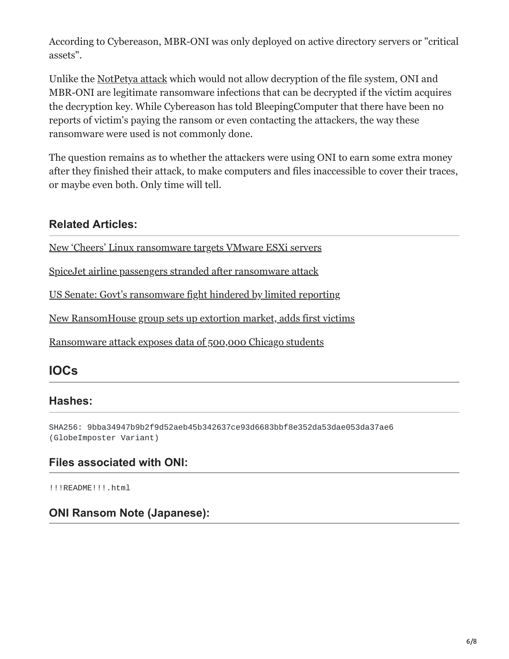According to Cybereason, MBR-ONI was only deployed on active directory servers or "critical assets".

Unlike the [NotPetya attack](https://www.bleepingcomputer.com/news/security/wannacry-d-j-vu-petya-ransomware-outbreak-wreaking-havoc-across-the-globe/) which would not allow decryption of the file system, ONI and MBR-ONI are legitimate ransomware infections that can be decrypted if the victim acquires the decryption key. While Cybereason has told BleepingComputer that there have been no reports of victim's paying the ransom or even contacting the attackers, the way these ransomware were used is not commonly done.

The question remains as to whether the attackers were using ONI to earn some extra money after they finished their attack, to make computers and files inaccessible to cover their traces, or maybe even both. Only time will tell.

## **Related Articles:**

[New 'Cheers' Linux ransomware targets VMware ESXi servers](https://www.bleepingcomputer.com/news/security/new-cheers-linux-ransomware-targets-vmware-esxi-servers/)

[SpiceJet airline passengers stranded after ransomware attack](https://www.bleepingcomputer.com/news/security/spicejet-airline-passengers-stranded-after-ransomware-attack/)

[US Senate: Govt's ransomware fight hindered by limited reporting](https://www.bleepingcomputer.com/news/security/us-senate-govt-s-ransomware-fight-hindered-by-limited-reporting/)

[New RansomHouse group sets up extortion market, adds first victims](https://www.bleepingcomputer.com/news/security/new-ransomhouse-group-sets-up-extortion-market-adds-first-victims/)

[Ransomware attack exposes data of 500,000 Chicago students](https://www.bleepingcomputer.com/news/security/ransomware-attack-exposes-data-of-500-000-chicago-students/)

## **IOCs**

### **Hashes:**

SHA256: 9bba34947b9b2f9d52aeb45b342637ce93d6683bbf8e352da53dae053da37ae6 (GlobeImposter Variant)

### **Files associated with ONI:**

!!!README!!!.html

### **ONI Ransom Note (Japanese):**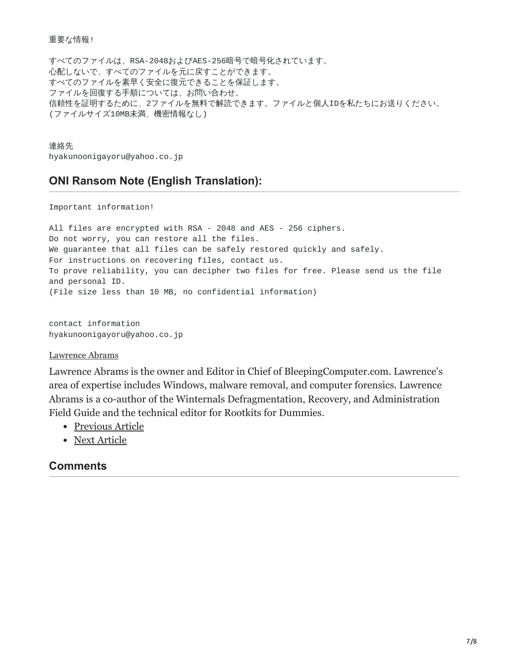#### 重要な情報!

すべてのファイルは、RSA-2048およびAES-256暗号で暗号化されています。 心配しないで、すべてのファイルを元に戻すことができます。 すべてのファイルを素早く安全に復元できることを保証します。 ファイルを回復する手順については、お問い合わせ。 信頼性を証明するために、2ファイルを無料で解読できます。ファイルと個人IDを私たちにお送りください。 (ファイルサイズ10MB未満、機密情報なし)

連絡先 hyakunoonigayoru@yahoo.co.jp

#### **ONI Ransom Note (English Translation):**

Important information!

All files are encrypted with RSA - 2048 and AES - 256 ciphers. Do not worry, you can restore all the files. We guarantee that all files can be safely restored quickly and safely. For instructions on recovering files, contact us. To prove reliability, you can decipher two files for free. Please send us the file and personal ID. (File size less than 10 MB, no confidential information)

contact information hyakunoonigayoru@yahoo.co.jp

#### [Lawrence Abrams](https://www.bleepingcomputer.com/author/lawrence-abrams/)

Lawrence Abrams is the owner and Editor in Chief of BleepingComputer.com. Lawrence's area of expertise includes Windows, malware removal, and computer forensics. Lawrence Abrams is a co-author of the Winternals Defragmentation, Recovery, and Administration Field Guide and the technical editor for Rootkits for Dummies.

- [Previous Article](https://www.bleepingcomputer.com/news/security/facebook-phishing-campaign-targets-android-and-ios-users/)
- [Next Article](https://www.bleepingcomputer.com/news/technology/new-vibwrite-system-uses-finger-vibrations-to-authenticate-users/)

#### <span id="page-6-0"></span>**Comments**